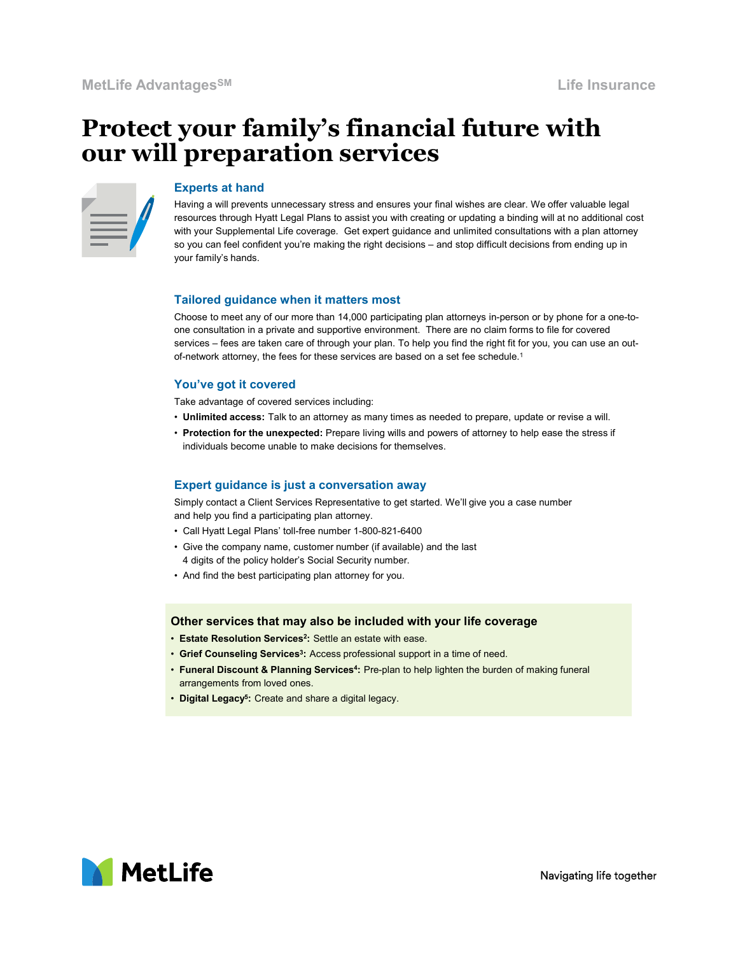# Protect your family's financial future with our will preparation services



### Experts at hand

Having a will prevents unnecessary stress and ensures your final wishes are clear. We offer valuable legal resources through Hyatt Legal Plans to assist you with creating or updating a binding will at no additional cost with your Supplemental Life coverage. Get expert guidance and unlimited consultations with a plan attorney Life Insurance<br> **your family's financial future with**<br> **preparation services**<br>
Experts at hand<br>
Having a will prevents unnecessary stress and ensures your final wishes are clear. We offer valuable legal<br>
Having a will prev your family's hands. services – fees are taken care of through your plan. To help you find the right for typical consists and engage are the real through Hyatt Legal Plans to assist you with creating a will prevents unnecessary stress and ensu

#### Tailored guidance when it matters most

Choose to meet any of our more than 14,000 participating plan attorneys in-person or by phone for a one-toone consultation in a private and supportive environment. There are no claim forms to file for covered of-network attorney, the fees for these services are based on a set fee schedule.<sup>1</sup> resources through Hyatt Legal Plans' to assist you with reasting or updating a binding will at no additional constructions with a plan attometery our can feel confident you're making the right decisions – and stop difficul win your supplemental Life coverage. Get experi guiarance and unimited consultations win a propural and the political propurations of the company of the company of the company of the company of the company of the company o Tailored guidance when it matters most<br>
Choose to meet any of our more than 14,000 participating plan attorneys in-person or by phonone consultation in a private and supportive environment. There are no claim forms to file

# You've got it covered

- Take advantage of covered services including:<br>• Unlimited access: Talk to an attorney as many times as needed to prepare, update or revise a will.
- Protection for the unexpected: Prepare living wills and powers of attorney to help ease the stress if individuals become unable to make decisions for themselves.

# Expert guidance is just a conversation away

Simply contact a Client Services Representative to get started. We'll give you a case number and help you find a participating plan attorney.

- 
- 4 digits of the policy holder's Social Security number.
- 

#### Other services that may also be included with your life coverage

- Estate Resolution Services<sup>2</sup>: Settle an estate with ease. An and the second product of the set of the set of  $\sim$
- Grief Counseling Services<sup>3</sup>: Access professional support in a time of need.
- Funeral Discount & Planning Services<sup>4</sup>: Pre-plan to help lighten the burden of making funeral arrangements from loved ones.
- Digital Legacy<sup>5</sup>: Create and share a digital legacy.